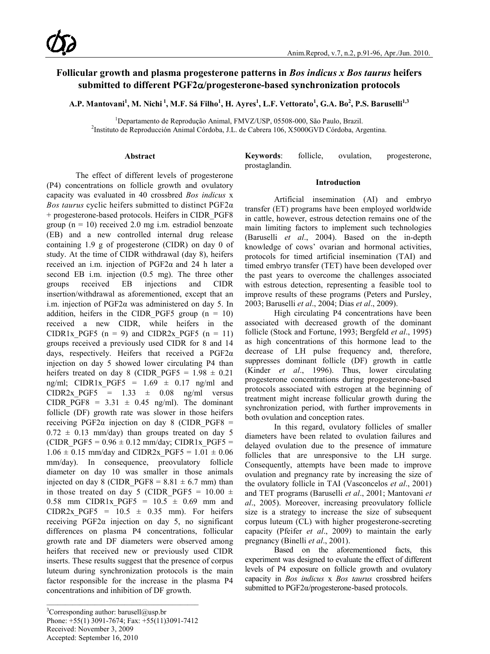# **Follicular growth and plasma progesterone patterns in** *Bos indicus x Bos taurus* **heifers submitted to different PGF2**α**/progesterone-based synchronization protocols**

**A.P. Mantovani<sup>1</sup> , M. Nichi <sup>1</sup> , M.F. Sá Filho<sup>1</sup> , H. Ayres1 , L.F. Vettorato<sup>1</sup> , G.A. Bo<sup>2</sup> , P.S. Baruselli1,3**

<sup>1</sup> Departamento de Reprodução Animal, FMVZ/USP, 05508-000, São Paulo, Brazil.<br><sup>2</sup> Instituto de Penrodução Animal Córdoba, LL, de Cabrera 106, X5000GVD Córdoba, Ar <sup>2</sup>Instituto de Reproducción Animal Córdoba, J.L. de Cabrera 106, X5000GVD Córdoba, Argentina.

#### **Abstract**

The effect of different levels of progesterone (P4) concentrations on follicle growth and ovulatory capacity was evaluated in 40 crossbred *Bos indicus* x *Bos taurus* cyclic heifers submitted to distinct PGF2α + progesterone-based protocols. Heifers in CIDR\_PGF8 group ( $n = 10$ ) received 2.0 mg i.m. estradiol benzoate (EB) and a new controlled internal drug release containing 1.9 g of progesterone (CIDR) on day 0 of study. At the time of CIDR withdrawal (day 8), heifers received an i.m. injection of PGF2α and 24 h later a second EB i.m. injection (0.5 mg). The three other groups received EB injections and CIDR insertion/withdrawal as aforementioned, except that an i.m. injection of PGF2α was administered on day 5. In addition, heifers in the CIDR PGF5 group  $(n = 10)$ received a new CIDR, while heifers in the CIDR1x PGF5 (n = 9) and CIDR2x PGF5 (n = 11) groups received a previously used CIDR for 8 and 14 days, respectively. Heifers that received a PGF2α injection on day 5 showed lower circulating P4 than heifers treated on day 8 (CIDR\_PGF5 =  $1.98 \pm 0.21$ ng/ml; CIDR1x\_PGF5 =  $1.69 \pm 0.17$  ng/ml and CIDR2x PGF5 =  $1.33 \pm 0.08$  ng/ml versus CIDR PGF8 =  $3.31 \pm 0.45$  ng/ml). The dominant follicle (DF) growth rate was slower in those heifers receiving PGF2α injection on day 8 (CIDR PGF8 =  $0.72 \pm 0.13$  mm/day) than groups treated on day 5 (CIDR\_PGF5 =  $0.96 \pm 0.12$  mm/day; CIDR1x\_PGF5 =  $1.06 \pm 0.15$  mm/day and CIDR2x PGF5 =  $1.01 \pm 0.06$ mm/day). In consequence, preovulatory follicle diameter on day 10 was smaller in those animals injected on day 8 (CIDR PGF8 =  $8.81 \pm 6.7$  mm) than in those treated on day 5 (CIDR PGF5 =  $10.00 \pm$ 0.58 mm CIDR1x PGF5 =  $10.5 \pm 0.69$  mm and CIDR2x PGF5 =  $10.5 \pm 0.35$  mm). For heifers receiving PGF2α injection on day 5, no significant differences on plasma P4 concentrations, follicular growth rate and DF diameters were observed among heifers that received new or previously used CIDR inserts. These results suggest that the presence of corpus luteum during synchronization protocols is the main factor responsible for the increase in the plasma P4 concentrations and inhibition of DF growth.

**Keywords**: follicle, ovulation, progesterone, prostaglandin.

#### **Introduction**

Artificial insemination (AI) and embryo transfer (ET) programs have been employed worldwide in cattle, however, estrous detection remains one of the main limiting factors to implement such technologies (Baruselli *et al*., 2004). Based on the in-depth knowledge of cows' ovarian and hormonal activities, protocols for timed artificial insemination (TAI) and timed embryo transfer (TET) have been developed over the past years to overcome the challenges associated with estrous detection, representing a feasible tool to improve results of these programs (Peters and Pursley, 2003; Baruselli *et al*., 2004; Dias *et al*., 2009).

High circulating P4 concentrations have been associated with decreased growth of the dominant follicle (Stock and Fortune, 1993; Bergfeld *et al*., 1995) as high concentrations of this hormone lead to the decrease of LH pulse frequency and, therefore, suppresses dominant follicle (DF) growth in cattle (Kinder *et al*., 1996). Thus, lower circulating progesterone concentrations during progesterone-based protocols associated with estrogen at the beginning of treatment might increase follicular growth during the synchronization period, with further improvements in both ovulation and conception rates.

In this regard, ovulatory follicles of smaller diameters have been related to ovulation failures and delayed ovulation due to the presence of immature follicles that are unresponsive to the LH surge. Consequently, attempts have been made to improve ovulation and pregnancy rate by increasing the size of the ovulatory follicle in TAI (Vasconcelos *et al*., 2001) and TET programs (Baruselli *et al*., 2001; Mantovani *et al*., 2005). Moreover, increasing preovulatory follicle size is a strategy to increase the size of subsequent corpus luteum (CL) with higher progesterone-secreting capacity (Pfeifer *et al*., 2009) to maintain the early pregnancy (Binelli *et al*., 2001).

Based on the aforementioned facts, this experiment was designed to evaluate the effect of different levels of P4 exposure on follicle growth and ovulatory capacity in *Bos indicus* x *Bos taurus* crossbred heifers submitted to PGF2α/progesterone-based protocols.

<sup>&</sup>lt;sup>3</sup>Corresponding author: barusell@usp.br

Phone: +55(1) 3091-7674; Fax: +55(11)3091-7412

Received: November 3, 2009

Accepted: September 16, 2010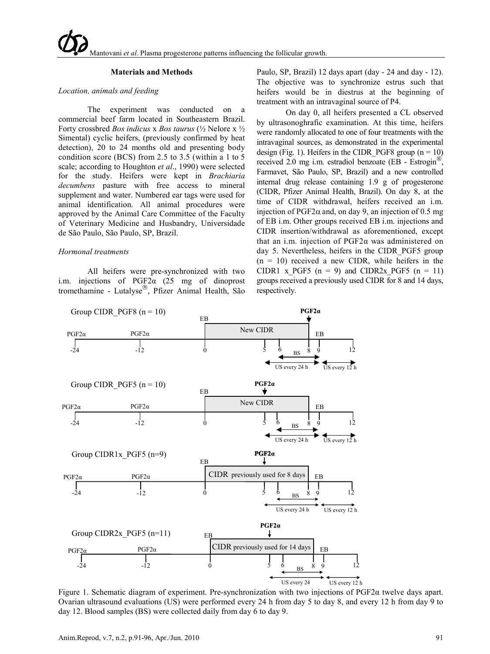#### **Materials and Methods**

#### *Location, animals and feeding*

The experiment was conducted on a commercial beef farm located in Southeastern Brazil. Forty crossbred *Bos indicus* x *Bos taurus* (½ Nelore x ½ Simental) cyclic heifers, (previously confirmed by heat detection), 20 to 24 months old and presenting body condition score (BCS) from 2.5 to 3.5 (within a 1 to 5 scale; according to Houghton *et al*., 1990) were selected for the study. Heifers were kept in *Brachiaria decumbens* pasture with free access to mineral supplement and water. Numbered ear tags were used for animal identification. All animal procedures were approved by the Animal Care Committee of the Faculty of Veterinary Medicine and Husbandry, Universidade de São Paulo, São Paulo, SP, Brazil.

#### *Hormonal treatments*

All heifers were pre-synchronized with two i.m. injections of PGF2α (25 mg of dinoprost tromethamine - Lutalyse®, Pfizer Animal Health, São Paulo, SP, Brazil) 12 days apart (day - 24 and day - 12). The objective was to synchronize estrus such that heifers would be in diestrus at the beginning of treatment with an intravaginal source of P4.

On day 0, all heifers presented a CL observed by ultrasonoghrafic examination. At this time, heifers were randomly allocated to one of four treatments with the intravaginal sources, as demonstrated in the experimental design (Fig. 1). Heifers in the CIDR PGF8 group ( $n = 10$ ) received 2.0 mg i.m. estradiol benzoate (EB - Estrogin $^{\circledR}$ ) Farmavet, São Paulo, SP, Brazil) and a new controlled internal drug release containing 1.9 g of progesterone (CIDR, Pfizer Animal Health, Brazil). On day 8, at the time of CIDR withdrawal, heifers received an i.m. injection of PGF2 $\alpha$  and, on day 9, an injection of 0.5 mg of EB i.m. Other groups received EB i.m. injections and CIDR insertion/withdrawal as aforementioned, except that an i.m. injection of PGF2α was administered on day 5. Nevertheless, heifers in the CIDR\_PGF5 group  $(n = 10)$  received a new CIDR, while heifers in the CIDR1 x PGF5 (n = 9) and CIDR2x PGF5 (n = 11) groups received a previously used CIDR for 8 and 14 days, respectively.



Figure 1. Schematic diagram of experiment. Pre-synchronization with two injections of PGF2α twelve days apart. Ovarian ultrasound evaluations (US) were performed every 24 h from day 5 to day 8, and every 12 h from day 9 to day 12. Blood samples (BS) were collected daily from day 6 to day 9.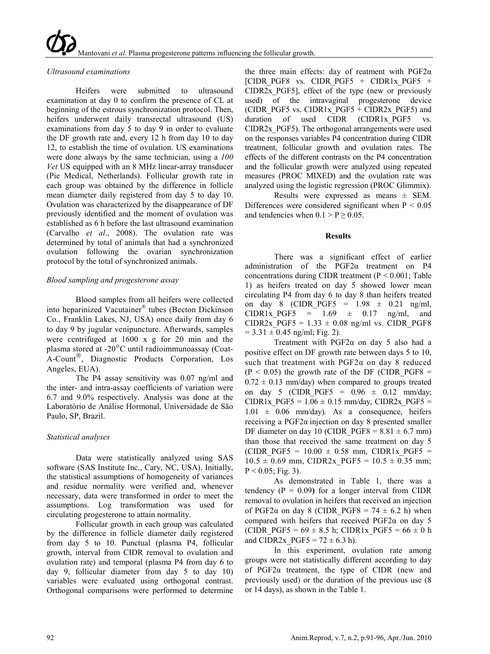# *Ultrasound examinations*

Heifers were submitted to ultrasound examination at day 0 to confirm the presence of CL at beginning of the estrous synchronization protocol. Then, heifers underwent daily transrectal ultrasound (US) examinations from day 5 to day 9 in order to evaluate the DF growth rate and, every 12 h from day 10 to day 12, to establish the time of ovulation. US examinations were done always by the same technician, using a *100 Vet* US equipped with an 8 MHz linear-array transducer (Pie Medical, Netherlands). Follicular growth rate in each group was obtained by the difference in follicle mean diameter daily registered from day 5 to day 10. Ovulation was characterized by the disappearance of DF previously identified and the moment of ovulation was established as 6 h before the last ultrasound examination (Carvalho *et al*., 2008). The ovulation rate was determined by total of animals that had a synchronized ovulation following the ovarian synchronization protocol by the total of synchronized animals.

# *Blood sampling and progesterone assay*

Blood samples from all heifers were collected into heparinized Vacutainer® tubes (Becton Dickinson Co., Franklin Lakes, NJ, USA) once daily from day 6 to day 9 by jugular venipuncture. Afterwards, samples were centrifuged at 1600 x g for 20 min and the plasma stored at -20°C until radioimmunoassay (Coat-A-Count<sup>®</sup>, Diagnostic Products Corporation, Los Angeles, EUA).

The P4 assay sensitivity was 0.07 ng/ml and the inter- and intra-assay coefficients of variation were 6.7 and 9.0% respectively. Analysis was done at the Laboratório de Análise Hormonal, Universidade de São Paulo, SP, Brazil.

# *Statistical analyses*

Data were statistically analyzed using SAS software (SAS Institute Inc., Cary, NC, USA). Initially, the statistical assumptions of homogeneity of variances and residue normality were verified and, whenever necessary, data were transformed in order to meet the assumptions. Log transformation was used for circulating progesterone to attain normality.

Follicular growth in each group was calculated by the difference in follicle diameter daily registered from day 5 to 10. Punctual (plasma P4, follicular growth, interval from CIDR removal to ovulation and ovulation rate) and temporal (plasma P4 from day 6 to day 9, follicular diameter from day 5 to day 10) variables were evaluated using orthogonal contrast. Orthogonal comparisons were performed to determine

the three main effects: day of reatment with  $PGF2\alpha$ [CIDR\_PGF8 vs. CIDR\_PGF5 + CIDR1x\_PGF5 + CIDR2x\_PGF5], effect of the type (new or previously used) of the intravaginal progesterone device (CIDR\_PGF5 vs. CIDR1x\_PGF5 + CIDR2x\_PGF5) and duration of used CIDR (CIDR1x PGF5 vs. CIDR2x\_PGF5). The orthogonal arrangements were used on the responses variables P4 concentration during CIDR treatment, follicular growth and ovulation rates. The effects of the different contrasts on the P4 concentration and the follicular growth were analyzed using repeated measures (PROC MIXED) and the ovulation rate was analyzed using the logistic regression (PROC Glimmix).

Results were expressed as means  $\pm$  SEM. Differences were considered significant when  $P < 0.05$ and tendencies when  $0.1 > P \ge 0.05$ .

# **Results**

There was a significant effect of earlier administration of the PGF2α treatment on P4 concentrations during CIDR treatment ( $P < 0.001$ ; Table 1) as heifers treated on day 5 showed lower mean circulating P4 from day 6 to day 8 than heifers treated on day 8 (CIDR PGF5 =  $1.98 \pm 0.21$  ng/ml, CIDR1x PGF5 =  $1.69 \pm 0.17$  ng/ml, and CIDR2x PGF5 =  $1.33 \pm 0.08$  ng/ml vs. CIDR PGF8  $= 3.31 \pm 0.45$  ng/ml; Fig. 2).

Treatment with  $PGF2\alpha$  on day 5 also had a positive effect on DF growth rate between days 5 to 10, such that treatment with  $PGF2\alpha$  on day 8 reduced  $(P < 0.05)$  the growth rate of the DF (CIDR PGF8 =  $0.72 \pm 0.13$  mm/day) when compared to groups treated on day 5 (CIDR PGF5 =  $0.96 \pm 0.12$  mm/day; CIDR1x  $PGF5 = 1.06 \pm 0.15$  mm/day, CIDR2x  $PGF5 =$  $1.01 \pm 0.06$  mm/day). As a consequence, heifers receiving a PGF2α injection on day 8 presented smaller DF diameter on day 10 (CIDR  $PGF8 = 8.81 \pm 6.7$  mm) than those that received the same treatment on day 5 (CIDR PGF5 =  $10.00 \pm 0.58$  mm, CIDR1x PGF5 =  $10.5 \pm 0.69$  mm, CIDR2x PGF5 =  $10.5 \pm 0.35$  mm;  $P < 0.05$ ; Fig. 3).

As demonstrated in Table 1, there was a tendency  $(P = 0.09)$  for a longer interval from CIDR removal to ovulation in heifers that received an injection of PGF2 $\alpha$  on day 8 (CIDR PGF8 = 74  $\pm$  6.2 h) when compared with heifers that received PGF2α on day 5 (CIDR PGF5 =  $69 \pm 8.5$  h; CIDR1x PGF5 =  $66 \pm 0$  h and CIDR2x  $PGF5 = 72 \pm 6.3$  h).

In this experiment, ovulation rate among groups were not statistically different according to day of PGF2α treatment, the type of CIDR (new and previously used) or the duration of the previous use (8 or 14 days), as shown in the Table 1.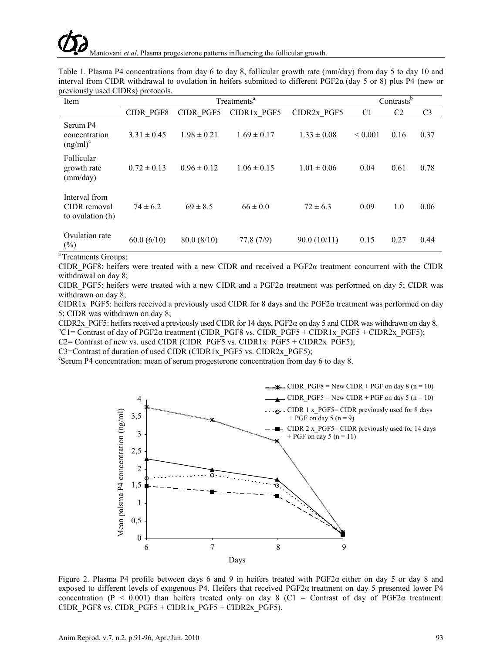|  | Table 1. Plasma P4 concentrations from day 6 to day 8, follicular growth rate (mm/day) from day 5 to day 10 and         |  |  |  |  |  |  |  |
|--|-------------------------------------------------------------------------------------------------------------------------|--|--|--|--|--|--|--|
|  | interval from CIDR withdrawal to ovulation in heifers submitted to different PGF2 $\alpha$ (day 5 or 8) plus P4 (new or |  |  |  |  |  |  |  |
|  | previously used CIDRs) protocols.                                                                                       |  |  |  |  |  |  |  |

| Item                                              |                 | Contrasts <sup>b</sup> |                 |                         |                |                |                |
|---------------------------------------------------|-----------------|------------------------|-----------------|-------------------------|----------------|----------------|----------------|
|                                                   | CIDR PGF8       | CIDR PGF5              | CIDR1x PGF5     | CIDR <sub>2x</sub> PGF5 | C <sub>1</sub> | C <sub>2</sub> | C <sub>3</sub> |
| Serum P4<br>concentration<br>$(ng/ml)^c$          | $3.31 \pm 0.45$ | $1.98 \pm 0.21$        | $1.69 \pm 0.17$ | $1.33 \pm 0.08$         | ${}_{0.001}$   | 0.16           | 0.37           |
| Follicular<br>growth rate<br>(mm/day)             | $0.72 \pm 0.13$ | $0.96 \pm 0.12$        | $1.06 \pm 0.15$ | $1.01 \pm 0.06$         | 0.04           | 0.61           | 0.78           |
| Interval from<br>CIDR removal<br>to ovulation (h) | $74 \pm 6.2$    | $69 \pm 8.5$           | $66 \pm 0.0$    | $72 \pm 6.3$            | 0.09           | 1.0            | 0.06           |
| Ovulation rate<br>$(\%)$                          | 60.0(6/10)      | 80.0(8/10)             | 77.8(7/9)       | 90.0(10/11)             | 0.15           | 0.27           | 0.44           |

a Treatments Groups:

CIDR PGF8: heifers were treated with a new CIDR and received a PGF2 $\alpha$  treatment concurrent with the CIDR withdrawal on day 8;

CIDR PGF5: heifers were treated with a new CIDR and a PGF2 $\alpha$  treatment was performed on day 5; CIDR was withdrawn on day 8;

CIDR1x\_PGF5: heifers received a previously used CIDR for 8 days and the PGF2α treatment was performed on day 5; CIDR was withdrawn on day 8;

CIDR2x PGF5: heifers received a previously used CIDR for 14 days, PGF2 $\alpha$  on day 5 and CIDR was withdrawn on day 8.

 ${}^{b}$ C1= Contrast of day of PGF2 $\alpha$  treatment (CIDR\_PGF8 vs. CIDR\_PGF5 + CIDR1x\_PGF5 + CIDR2x\_PGF5);

C2= Contrast of new vs. used CIDR (CIDR\_PGF5 vs. CIDR1x\_PGF5 + CIDR2x\_PGF5);

C3=Contrast of duration of used CIDR (CIDR1x\_PGF5 vs. CIDR2x\_PGF5);

Serum P4 concentration: mean of serum progesterone concentration from day 6 to day 8.



Figure 2. Plasma P4 profile between days 6 and 9 in heifers treated with PGF2 $\alpha$  either on day 5 or day 8 and exposed to different levels of exogenous P4. Heifers that received PGF2α treatment on day 5 presented lower P4 concentration (P < 0.001) than heifers treated only on day 8 (C1 = Contrast of day of PGF2 $\alpha$  treatment: CIDR\_PGF8 vs. CIDR\_PGF5 + CIDR1x\_PGF5 + CIDR2x\_PGF5).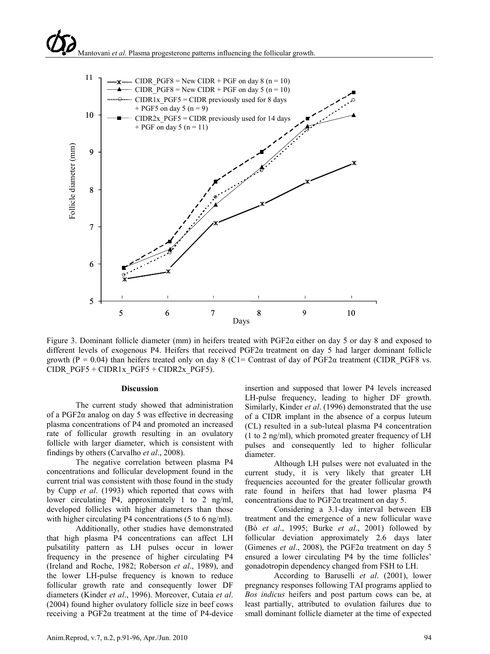# Mantovani *et al*. Plasma progesterone patterns influencing the follicular growth.



Figure 3. Dominant follicle diameter (mm) in heifers treated with PGF2α either on day 5 or day 8 and exposed to different levels of exogenous P4. Heifers that received PGF2α treatment on day 5 had larger dominant follicle growth (P = 0.04) than heifers treated only on day 8 (C1= Contrast of day of PGF2 $\alpha$  treatment (CIDR\_PGF8 vs. CIDR\_PGF5 + CIDR1x\_PGF5 + CIDR2x\_PGF5).

#### **Discussion**

The current study showed that administration of a PGF2 $\alpha$  analog on day 5 was effective in decreasing plasma concentrations of P4 and promoted an increased rate of follicular growth resulting in an ovulatory follicle with larger diameter, which is consistent with findings by others (Carvalho *et al*., 2008).

The negative correlation between plasma P4 concentrations and follicular development found in the current trial was consistent with those found in the study by Cupp *et al*. (1993) which reported that cows with lower circulating P4, approximately 1 to 2 ng/ml, developed follicles with higher diameters than those with higher circulating P4 concentrations (5 to 6 ng/ml).

Additionally, other studies have demonstrated that high plasma P4 concentrations can affect LH pulsatility pattern as LH pulses occur in lower frequency in the presence of higher circulating P4 (Ireland and Roche, 1982; Roberson *et al*., 1989), and the lower LH-pulse frequency is known to reduce follicular growth rate and consequently lower DF diameters (Kinder *et al*., 1996). Moreover, Cutaia *et al*. (2004) found higher ovulatory follicle size in beef cows receiving a PGF2α treatment at the time of P4-device

insertion and supposed that lower P4 levels increased LH-pulse frequency, leading to higher DF growth. Similarly, Kinder *et al*. (1996) demonstrated that the use of a CIDR implant in the absence of a corpus luteum (CL) resulted in a sub-luteal plasma P4 concentration (1 to 2 ng/ml), which promoted greater frequency of LH pulses and consequently led to higher follicular diameter.

Although LH pulses were not evaluated in the current study, it is very likely that greater LH frequencies accounted for the greater follicular growth rate found in heifers that had lower plasma P4 concentrations due to PGF2α treatment on day 5.

Considering a 3.1-day interval between EB treatment and the emergence of a new follicular wave (Bó *et al*., 1995; Burke *et al*., 2001) followed by follicular deviation approximately 2.6 days later (Gimenes *et al*., 2008), the PGF2α treatment on day 5 ensured a lower circulating P4 by the time follicles' gonadotropin dependency changed from FSH to LH.

According to Baruselli *et al*. (2001), lower pregnancy responses following TAI programs applied to *Bos indicus* heifers and post partum cows can be, at least partially, attributed to ovulation failures due to small dominant follicle diameter at the time of expected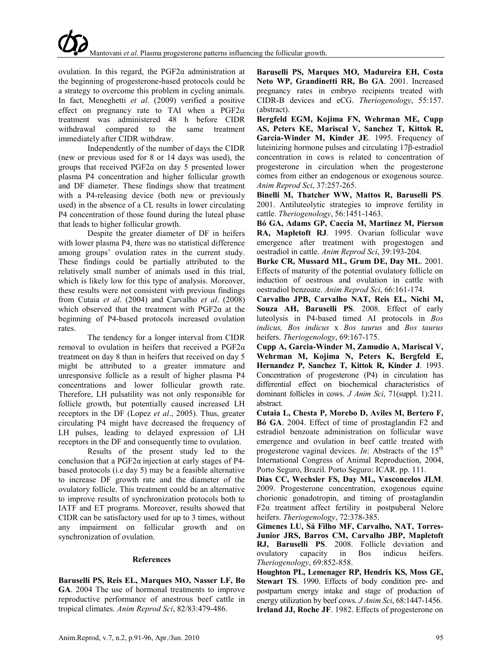ovulation. In this regard, the  $PGF2\alpha$  administration at the beginning of progesterone-based protocols could be a strategy to overcome this problem in cycling animals. In fact, Meneghetti *et al*. (2009) verified a positive effect on pregnancy rate to TAI when a  $PGF2\alpha$ treatment was administered 48 h before CIDR withdrawal compared to the same treatment immediately after CIDR withdraw.

Independently of the number of days the CIDR (new or previous used for 8 or 14 days was used), the groups that received  $PGF2\alpha$  on day 5 presented lower plasma P4 concentration and higher follicular growth and DF diameter. These findings show that treatment with a P4-releasing device (both new or previously used) in the absence of a CL results in lower circulating P4 concentration of those found during the luteal phase that leads to higher follicular growth.

Despite the greater diameter of DF in heifers with lower plasma P4, there was no statistical difference among groups' ovulation rates in the current study. These findings could be partially attributed to the relatively small number of animals used in this trial, which is likely low for this type of analysis. Moreover, these results were not consistent with previous findings from Cutaia *et al*. (2004) and Carvalho *et al*. (2008) which observed that the treatment with  $PGF2\alpha$  at the beginning of P4-based protocols increased ovulation rates.

The tendency for a longer interval from CIDR removal to ovulation in heifers that received a PGF2α treatment on day 8 than in heifers that received on day 5 might be attributed to a greater immature and unresponsive follicle as a result of higher plasma P4 concentrations and lower follicular growth rate. Therefore, LH pulsatility was not only responsible for follicle growth, but potentially caused increased LH receptors in the DF (Lopez *et al*., 2005). Thus, greater circulating P4 might have decreased the frequency of LH pulses, leading to delayed expression of LH receptors in the DF and consequently time to ovulation.

Results of the present study led to the conclusion that a PGF2 $\alpha$  injection at early stages of P4based protocols (i.e day 5) may be a feasible alternative to increase DF growth rate and the diameter of the ovulatory follicle. This treatment could be an alternative to improve results of synchronization protocols both to IATF and ET programs. Moreover, results showed that CIDR can be satisfactory used for up to 3 times, without any impairment on follicular growth and on synchronization of ovulation.

#### **References**

**Baruselli PS, Reis EL, Marques MO, Nasser LF, Bo GA**. 2004 The use of hormonal treatments to improve reproductive performance of anestrous beef cattle in tropical climates. *Anim Reprod Sci*, 82/83:479-486.

**Baruselli PS, Marques MO, Madureira EH, Costa Neto WP, Grandinetti RR, Bo GA**. 2001. Increased pregnancy rates in embryo recipients treated with CIDR-B devices and eCG. *Theriogenology*, 55:157. (abstract).

**Bergfeld EGM, Kojima FN, Wehrman ME, Cupp AS, Peters KE, Mariscal V, Sanchez T, Kittok R, Garcia-Winder M, Kinder JE**. 1995. Frequency of luteinizing hormone pulses and circulating 17β-estradiol concentration in cows is related to concentration of progesterone in circulation when the progesterone comes from either an endogenous or exogenous source. *Anim Reprod Sci*, 37:257-265.

**Binelli M, Thatcher WW, Mattos R, Baruselli PS**. 2001. Antiluteolytic strategies to improve fertility in cattle. *Theriogenology*, 56:1451-1463.

**Bó GA, Adams GP, Caccia M, Martinez M, Pierson RA, Mapletoft RJ**. 1995. Ovarian follicular wave emergence after treatment with progestogen and oestradiol in cattle. *Anim Reprod Sci*, 39:193-204.

**Burke CR, Mussard ML, Grum DE, Day ML**. 2001. Effects of maturity of the potential ovulatory follicle on induction of oestrous and ovulation in cattle with oestradiol benzoate. *Anim Reprod Sci*, 66:161-174.

**Carvalho JPB, Carvalho NAT, Reis EL, Nichi M, Souza AH, Baruselli PS**. 2008. Effect of early luteolysis in P4-based timed AI protocols in *Bos indicus, Bos indicus* x *Bos taurus* and *Bos taurus* heifers. *Theriogenology*, 69:167-175.

**Cupp A, Garcia-Winder M, Zamudio A, Mariscal V, Wehrman M, Kojima N, Peters K, Bergfeld E, Hernandez P, Sanchez T, Kittok R, Kinder J**. 1993. Concentration of progesterone (P4) in circulation has differential effect on biochemical characteristics of dominant follicles in cows. *J Anim Sci*, 71(suppl. 1):211. abstract.

**Cutaia L, Chesta P, Morebo D, Aviles M, Bertero F, Bó GA**. 2004. Effect of time of prostaglandin F2 and estradiol benzoate administration on follicular wave emergence and ovulation in beef cattle treated with progesterone vaginal devices. *In*: Abstracts of the  $15<sup>th</sup>$ International Congress of Animal Reproduction, 2004, Porto Seguro, Brazil. Porto Seguro: ICAR. pp. 111.

**Dias CC, Wechsler FS, Day ML, Vasconcelos JLM**. 2009. Progesterone concentration, exogenous equine chorionic gonadotropin, and timing of prostaglandin F2α treatment affect fertility in postpuberal Nelore heifers. *Theriogenology*, 72:378-385.

**Gimenes LU, Sá Filho MF, Carvalho, NAT, Torres-Junior JRS, Barros CM, Carvalho JBP, Mapletoft RJ, Baruselli PS**. 2008. Follicle deviation and ovulatory capacity in Bos indicus heifers. *Theriogenology*, 69:852-858.

**Houghton PL, Lemenager RP, Hendrix KS, Moss GE, Stewart TS**. 1990. Effects of body condition pre- and postpartum energy intake and stage of production of energy utilization by beef cows. *J Anim Sci*, 68:1447-1456. **Ireland JJ, Roche JF**. 1982. Effects of progesterone on